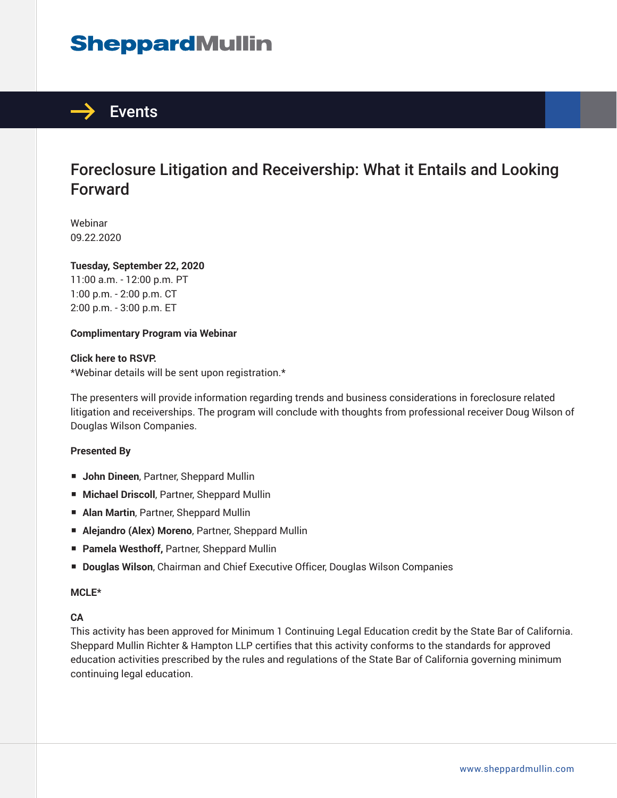# **SheppardMullin**



## Foreclosure Litigation and Receivership: What it Entails and Looking Forward

Webinar 09.22.2020

#### **Tuesday, September 22, 2020**

11:00 a.m. - 12:00 p.m. PT 1:00 p.m. - 2:00 p.m. CT 2:00 p.m. - 3:00 p.m. ET

#### **Complimentary Program via Webinar**

#### **Click here to RSVP.**

\*Webinar details will be sent upon registration.\*

The presenters will provide information regarding trends and business considerations in foreclosure related litigation and receiverships. The program will conclude with thoughts from professional receiver Doug Wilson of Douglas Wilson Companies.

#### **Presented By**

- **John Dineen**, Partner, Sheppard Mullin
- **Michael Driscoll**, Partner, Sheppard Mullin
- **Alan Martin, Partner, Sheppard Mullin**
- **Alejandro (Alex) Moreno**, Partner, Sheppard Mullin
- **Pamela Westhoff, Partner, Sheppard Mullin**
- **Douglas Wilson**, Chairman and Chief Executive Officer, Douglas Wilson Companies

#### **MCLE\***

#### **CA**

This activity has been approved for Minimum 1 Continuing Legal Education credit by the State Bar of California. Sheppard Mullin Richter & Hampton LLP certifies that this activity conforms to the standards for approved education activities prescribed by the rules and regulations of the State Bar of California governing minimum continuing legal education.